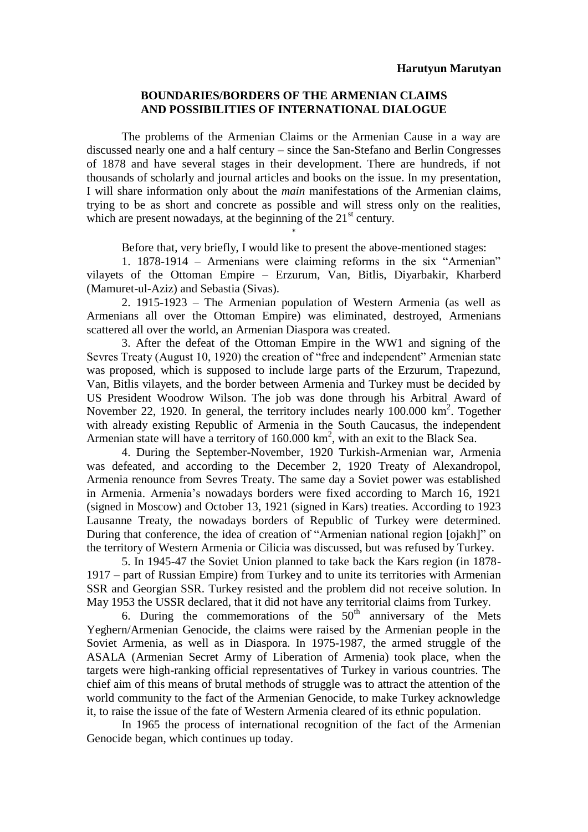## **BOUNDARIES/BORDERS OF THE ARMENIAN CLAIMS AND POSSIBILITIES OF INTERNATIONAL DIALOGUE**

The problems of the Armenian Claims or the Armenian Cause in a way are discussed nearly one and a half century – since the San-Stefano and Berlin Congresses of 1878 and have several stages in their development. There are hundreds, if not thousands of scholarly and journal articles and books on the issue. In my presentation, I will share information only about the *main* manifestations of the Armenian claims, trying to be as short and concrete as possible and will stress only on the realities, which are present nowadays, at the beginning of the  $21<sup>st</sup>$  century.

Before that, very briefly, I would like to present the above-mentioned stages:

1. 1878-1914 – Armenians were claiming reforms in the six "Armenian" vilayets of the Ottoman Empire – Erzurum, Van, Bitlis, Diyarbakir, Kharberd (Mamuret-ul-Aziz) and Sebastia (Sivas).

\*

2. 1915-1923 – The Armenian population of Western Armenia (as well as Armenians all over the Ottoman Empire) was eliminated, destroyed, Armenians scattered all over the world, an Armenian Diaspora was created.

3. After the defeat of the Ottoman Empire in the WW1 and signing of the Sevres Treaty (August 10, 1920) the creation of "free and independent" Armenian state was proposed, which is supposed to include large parts of the Erzurum, Trapezund, Van, Bitlis vilayets, and the border between Armenia and Turkey must be decided by US President Woodrow Wilson. The job was done through his Arbitral Award of November 22, 1920. In general, the territory includes nearly  $100.000 \text{ km}^2$ . Together with already existing Republic of Armenia in the South Caucasus, the independent Armenian state will have a territory of  $160.000 \text{ km}^2$ , with an exit to the Black Sea.

4. During the September-November, 1920 Turkish-Armenian war, Armenia was defeated, and according to the December 2, 1920 Treaty of Alexandropol, Armenia renounce from Sevres Treaty. The same day a Soviet power was established in Armenia. Armenia's nowadays borders were fixed according to March 16, 1921 (signed in Moscow) and October 13, 1921 (signed in Kars) treaties. According to 1923 Lausanne Treaty, the nowadays borders of Republic of Turkey were determined. During that conference, the idea of creation of "Armenian national region [ojakh]" on the territory of Western Armenia or Cilicia was discussed, but was refused by Turkey.

5. In 1945-47 the Soviet Union planned to take back the Kars region (in 1878- 1917 – part of Russian Empire) from Turkey and to unite its territories with Armenian SSR and Georgian SSR. Turkey resisted and the problem did not receive solution. In May 1953 the USSR declared, that it did not have any territorial claims from Turkey.

6. During the commemorations of the  $50<sup>th</sup>$  anniversary of the Mets Yeghern/Armenian Genocide, the claims were raised by the Armenian people in the Soviet Armenia, as well as in Diaspora. In 1975-1987, the armed struggle of the ASALA (Armenian Secret Army of Liberation of Armenia) took place, when the targets were high-ranking official representatives of Turkey in various countries. The chief aim of this means of brutal methods of struggle was to attract the attention of the world community to the fact of the Armenian Genocide, to make Turkey acknowledge it, to raise the issue of the fate of Western Armenia cleared of its ethnic population.

In 1965 the process of international recognition of the fact of the Armenian Genocide began, which continues up today.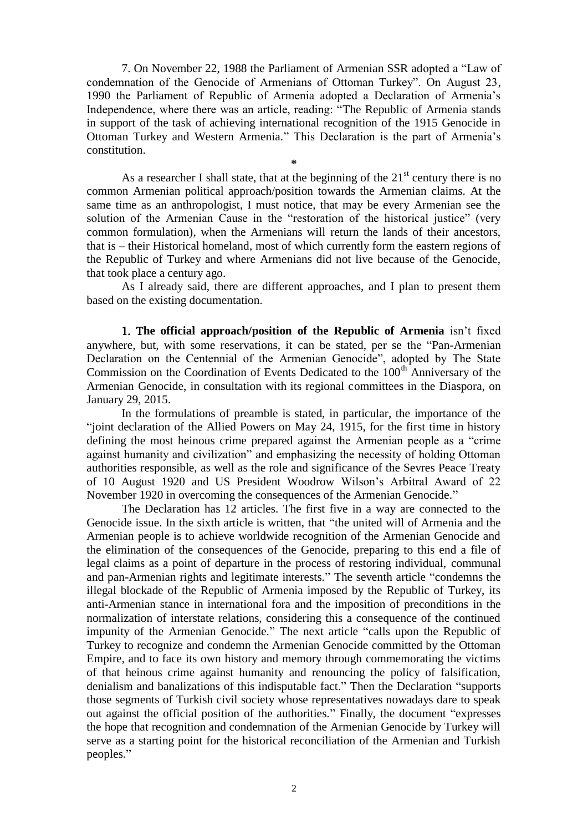7. On November 22, 1988 the Parliament of Armenian SSR adopted a "Law of condemnation of the Genocide of Armenians of Ottoman Turkey". On August 23, 1990 the Parliament of Republic of Armenia adopted a Declaration of Armenia's Independence, where there was an article, reading: "The Republic of Armenia stands in support of the task of achieving international recognition of the 1915 Genocide in Ottoman Turkey and Western Armenia." This Declaration is the part of Armenia's constitution. **\***

As a researcher I shall state, that at the beginning of the  $21<sup>st</sup>$  century there is no common Armenian political approach/position towards the Armenian claims. At the same time as an anthropologist, I must notice, that may be every Armenian see the solution of the Armenian Cause in the "restoration of the historical justice" (very common formulation), when the Armenians will return the lands of their ancestors, that is – their Historical homeland, most of which currently form the eastern regions of the Republic of Turkey and where Armenians did not live because of the Genocide, that took place a century ago.

As I already said, there are different approaches, and I plan to present them based on the existing documentation.

1. T**he official approach/position of the Republic of Armenia** isn't fixed anywhere, but, with some reservations, it can be stated, per se the "Pan-Armenian Declaration on the Centennial of the Armenian Genocide", adopted by The State Commission on the Coordination of Events Dedicated to the 100<sup>th</sup> Anniversary of the Armenian Genocide, in consultation with its regional committees in the Diaspora, on January 29, 2015.

In the formulations of preamble is stated, in particular, the importance of the "joint declaration of the Allied Powers on May 24, 1915, for the first time in history defining the most heinous crime prepared against the Armenian people as a "crime against humanity and civilization" and emphasizing the necessity of holding Ottoman authorities responsible, as well as the role and significance of the Sevres Peace Treaty of 10 August 1920 and US President Woodrow Wilson's Arbitral Award of 22 November 1920 in overcoming the consequences of the Armenian Genocide."

The Declaration has 12 articles. The first five in a way are connected to the Genocide issue. In the sixth article is written, that "the united will of Armenia and the Armenian people is to achieve worldwide recognition of the Armenian Genocide and the elimination of the consequences of the Genocide, preparing to this end a file of legal claims as a point of departure in the process of restoring individual, communal and pan-Armenian rights and legitimate interests." The seventh article "condemns the illegal blockade of the Republic of Armenia imposed by the Republic of Turkey, its anti-Armenian stance in international fora and the imposition of preconditions in the normalization of interstate relations, considering this a consequence of the continued impunity of the Armenian Genocide." The next article "calls upon the Republic of Turkey to recognize and condemn the Armenian Genocide committed by the Ottoman Empire, and to face its own history and memory through commemorating the victims of that heinous crime against humanity and renouncing the policy of falsification, denialism and banalizations of this indisputable fact." Then the Declaration "supports those segments of Turkish civil society whose representatives nowadays dare to speak out against the official position of the authorities." Finally, the document "expresses the hope that recognition and condemnation of the Armenian Genocide by Turkey will serve as a starting point for the historical reconciliation of the Armenian and Turkish peoples."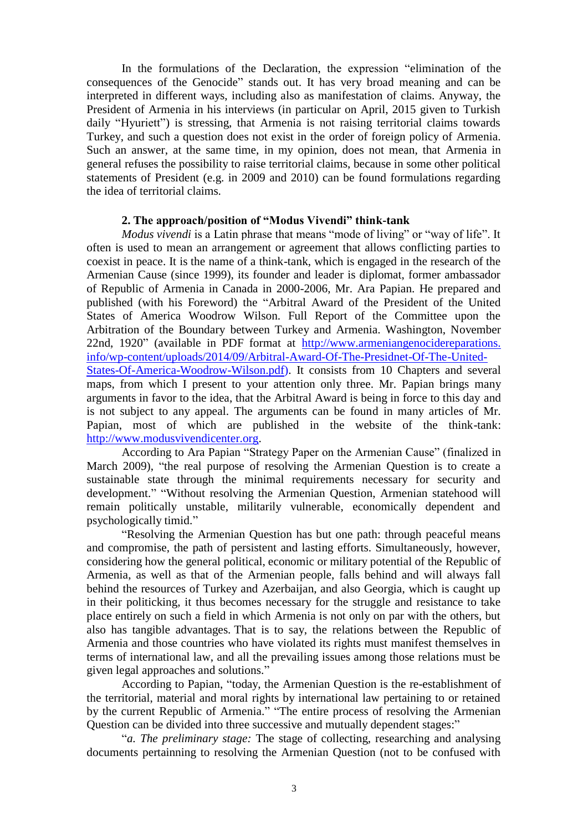In the formulations of the Declaration, the expression "elimination of the consequences of the Genocide" stands out. It has very broad meaning and can be interpreted in different ways, including also as manifestation of claims. Anyway, the President of Armenia in his interviews (in particular on April, 2015 given to Turkish daily "Hyuriett") is stressing, that Armenia is not raising territorial claims towards Turkey, and such a question does not exist in the order of foreign policy of Armenia. Such an answer, at the same time, in my opinion, does not mean, that Armenia in general refuses the possibility to raise territorial claims, because in some other political statements of President (e.g. in 2009 and 2010) can be found formulations regarding the idea of territorial claims.

## **2. The approach/position of "Modus Vivendi" think-tank**

*Modus vivendi* is a Latin phrase that means "mode of living" or "way of life". It often is used to mean an arrangement or agreement that allows conflicting parties to coexist in peace. It is the name of a think-tank, which is engaged in the research of the Armenian Cause (since 1999), its founder and leader is diplomat, former ambassador of Republic of Armenia in Canada in 2000-2006, Mr. Ara Papian. He prepared and published (with his Foreword) the "Arbitral Award of the President of the United States of America Woodrow Wilson. Full Report of the Committee upon the Arbitration of the Boundary between Turkey and Armenia. Washington, November 22nd, 1920" (available in PDF format at http://www.armeniangenocidereparations. info/wp-content/uploads/2014/09/Arbitral-Award-Of-The-Presidnet-Of-The-United-States-Of-America-Woodrow-Wilson.pdf). It consists from 10 Chapters and several maps, from which I present to your attention only three. Mr. Papian brings many arguments in favor to the idea, that the Arbitral Award is being in force to this day and is not subject to any appeal. The arguments can be found in many articles of Mr. Papian, most of which are published in the website of the think-tank: [http://www.modusvivendicenter.org.](http://www.modusvivendicenter.org/)

According to Ara Papian "Strategy Paper on the Armenian Cause" (finalized in March 2009), "the real purpose of resolving the Armenian Question is to create a sustainable state through the minimal requirements necessary for security and development." "Without resolving the Armenian Question, Armenian statehood will remain politically unstable, militarily vulnerable, economically dependent and psychologically timid."

"Resolving the Armenian Question has but one path: through peaceful means and compromise, the path of persistent and lasting efforts. Simultaneously, however, considering how the general political, economic or military potential of the Republic of Armenia, as well as that of the Armenian people, falls behind and will always fall behind the resources of Turkey and Azerbaijan, and also Georgia, which is caught up in their politicking, it thus becomes necessary for the struggle and resistance to take place entirely on such a field in which Armenia is not only on par with the others, but also has tangible advantages. That is to say, the relations between the Republic of Armenia and those countries who have violated its rights must manifest themselves in terms of international law, and all the prevailing issues among those relations must be given legal approaches and solutions."

According to Papian, "today, the Armenian Question is the re-establishment of the territorial, material and moral rights by international law pertaining to or retained by the current Republic of Armenia." "The entire process of resolving the Armenian Question can be divided into three successive and mutually dependent stages:"

"*a. The preliminary stage:* The stage of collecting, researching and analysing documents pertainning to resolving the Armenian Question (not to be confused with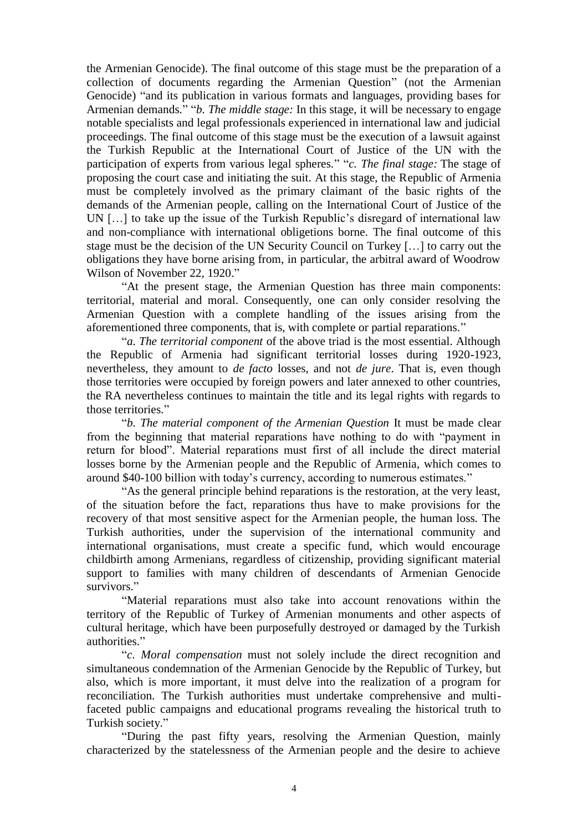the Armenian Genocide). The final outcome of this stage must be the preparation of a collection of documents regarding the Armenian Question" (not the Armenian Genocide) "and its publication in various formats and languages, providing bases for Armenian demands." "*b. The middle stage:* In this stage, it will be necessary to engage notable specialists and legal professionals experienced in international law and judicial proceedings. The final outcome of this stage must be the execution of a lawsuit against the Turkish Republic at the International Court of Justice of the UN with the participation of experts from various legal spheres." "*c. The final stage:* The stage of proposing the court case and initiating the suit. At this stage, the Republic of Armenia must be completely involved as the primary claimant of the basic rights of the demands of the Armenian people, calling on the International Court of Justice of the UN […] to take up the issue of the Turkish Republic's disregard of international law and non-compliance with international obligetions borne. The final outcome of this stage must be the decision of the UN Security Council on Turkey […] to carry out the obligations they have borne arising from, in particular, the arbitral award of Woodrow Wilson of November 22, 1920."

"At the present stage, the Armenian Question has three main components: territorial, material and moral. Consequently, one can only consider resolving the Armenian Question with a complete handling of the issues arising from the aforementioned three components, that is, with complete or partial reparations."

"*a. The territorial component* of the above triad is the most essential. Although the Republic of Armenia had significant territorial losses during 1920-1923, nevertheless, they amount to *de facto* losses, and not *de jure*. That is, even though those territories were occupied by foreign powers and later annexed to other countries, the RA nevertheless continues to maintain the title and its legal rights with regards to those territories."

"*b. The material component of the Armenian Question* It must be made clear from the beginning that material reparations have nothing to do with "payment in return for blood". Material reparations must first of all include the direct material losses borne by the Armenian people and the Republic of Armenia, which comes to around \$40-100 billion with today's currency, according to numerous estimates."

"As the general principle behind reparations is the restoration, at the very least, of the situation before the fact, reparations thus have to make provisions for the recovery of that most sensitive aspect for the Armenian people, the human loss. The Turkish authorities, under the supervision of the international community and international organisations, must create a specific fund, which would encourage childbirth among Armenians, regardless of citizenship, providing significant material support to families with many children of descendants of Armenian Genocide survivors."

"Material reparations must also take into account renovations within the territory of the Republic of Turkey of Armenian monuments and other aspects of cultural heritage, which have been purposefully destroyed or damaged by the Turkish authorities."

"*c. Moral compensation* must not solely include the direct recognition and simultaneous condemnation of the Armenian Genocide by the Republic of Turkey, but also, which is more important, it must delve into the realization of a program for reconciliation. The Turkish authorities must undertake comprehensive and multifaceted public campaigns and educational programs revealing the historical truth to Turkish society."

"During the past fifty years, resolving the Armenian Question, mainly characterized by the statelessness of the Armenian people and the desire to achieve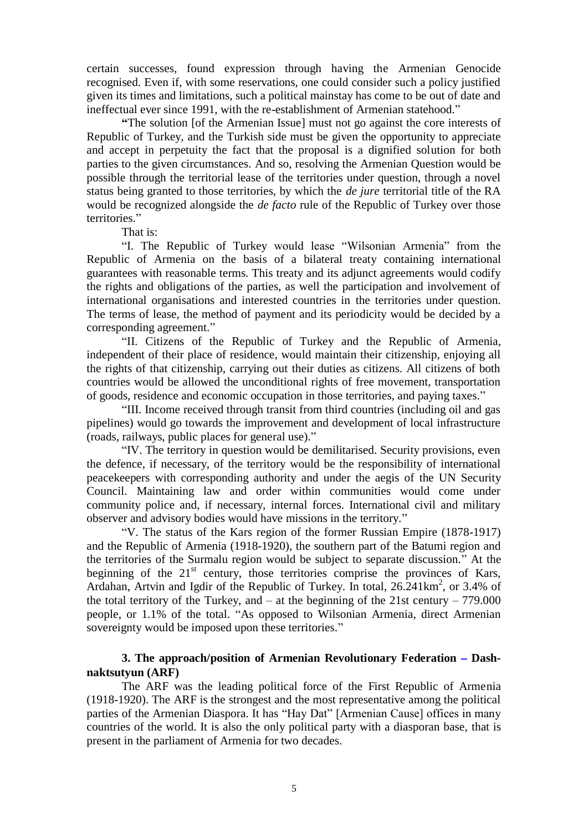certain successes, found expression through having the Armenian Genocide recognised. Even if, with some reservations, one could consider such a policy justified given its times and limitations, such a political mainstay has come to be out of date and ineffectual ever since 1991, with the re-establishment of Armenian statehood."

**"**The solution [of the Armenian Issue] must not go against the core interests of Republic of Turkey, and the Turkish side must be given the opportunity to appreciate and accept in perpetuity the fact that the proposal is a dignified solution for both parties to the given circumstances. And so, resolving the Armenian Question would be possible through the territorial lease of the territories under question, through a novel status being granted to those territories, by which the *de jure* territorial title of the RA would be recognized alongside the *de facto* rule of the Republic of Turkey over those territories."

That is:

"I. The Republic of Turkey would lease "Wilsonian Armenia" from the Republic of Armenia on the basis of a bilateral treaty containing international guarantees with reasonable terms. This treaty and its adjunct agreements would codify the rights and obligations of the parties, as well the participation and involvement of international organisations and interested countries in the territories under question. The terms of lease, the method of payment and its periodicity would be decided by a corresponding agreement."

"II. Citizens of the Republic of Turkey and the Republic of Armenia, independent of their place of residence, would maintain their citizenship, enjoying all the rights of that citizenship, carrying out their duties as citizens. All citizens of both countries would be allowed the unconditional rights of free movement, transportation of goods, residence and economic occupation in those territories, and paying taxes."

"III. Income received through transit from third countries (including oil and gas pipelines) would go towards the improvement and development of local infrastructure (roads, railways, public places for general use)."

"IV. The territory in question would be demilitarised. Security provisions, even the defence, if necessary, of the territory would be the responsibility of international peacekeepers with corresponding authority and under the aegis of the UN Security Council. Maintaining law and order within communities would come under community police and, if necessary, internal forces. International civil and military observer and advisory bodies would have missions in the territory."

"V. The status of the Kars region of the former Russian Empire (1878-1917) and the Republic of Armenia (1918-1920), the southern part of the Batumi region and the territories of the Surmalu region would be subject to separate discussion." At the beginning of the  $21<sup>st</sup>$  century, those territories comprise the provinces of Kars, Ardahan, Artvin and Igdir of the Republic of Turkey. In total, 26.241km<sup>2</sup>, or 3.4% of the total territory of the Turkey, and  $-$  at the beginning of the 21st century  $-779.000$ people, or 1.1% of the total. "As opposed to Wilsonian Armenia, direct Armenian sovereignty would be imposed upon these territories."

## **3. The approach/position of Armenian Revolutionary Federation** – **Dashnaktsutyun (ARF)**

The ARF was the leading political force of the First Republic of Armenia (1918-1920). The ARF is the strongest and the most representative among the political parties of the Armenian Diaspora. It has "Hay Dat" [Armenian Cause] offices in many countries of the world. It is also the only political party with a diasporan base, that is present in the parliament of Armenia for two decades.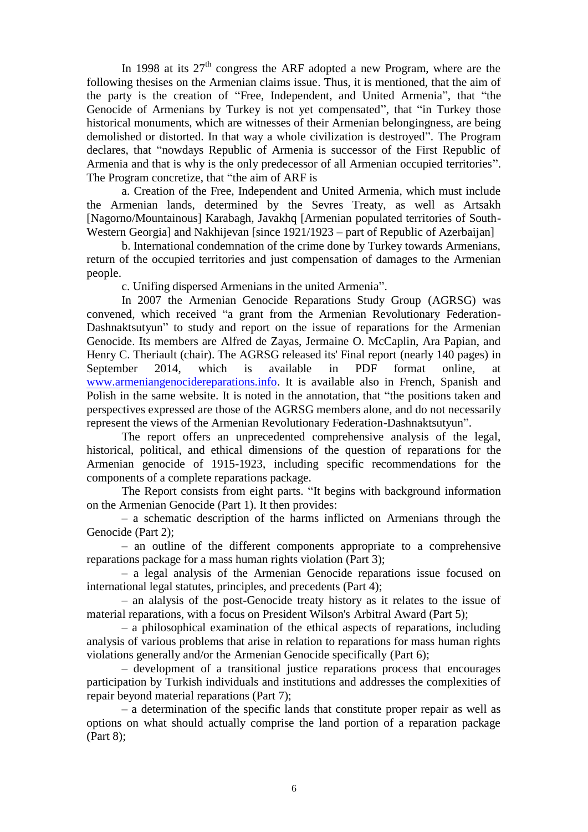In 1998 at its  $27<sup>th</sup>$  congress the ARF adopted a new Program, where are the following thesises on the Armenian claims issue. Thus, it is mentioned, that the aim of the party is the creation of "Free, Independent, and United Armenia", that "the Genocide of Armenians by Turkey is not yet compensated", that "in Turkey those historical monuments, which are witnesses of their Armenian belongingness, are being demolished or distorted. In that way a whole civilization is destroyed". The Program declares, that "nowdays Republic of Armenia is successor of the First Republic of Armenia and that is why is the only predecessor of all Armenian occupied territories". The Program concretize, that "the aim of ARF is

a. Creation of the Free, Independent and United Armenia, which must include the Armenian lands, determined by the Sevres Treaty, as well as Artsakh [Nagorno/Mountainous] Karabagh, Javakhq [Armenian populated territories of South-Western Georgia] and Nakhijevan [since 1921/1923 – part of Republic of Azerbaijan]

b. International condemnation of the crime done by Turkey towards Armenians, return of the occupied territories and just compensation of damages to the Armenian people.

c. Unifing dispersed Armenians in the united Armenia".

In 2007 the Armenian Genocide Reparations Study Group (AGRSG) was convened, which received "a grant from the Armenian Revolutionary Federation-Dashnaktsutyun" to study and report on the issue of reparations for the Armenian Genocide. Its members are Alfred de Zayas, Jermaine O. McCaplin, Ara Papian, and Henry C. Theriault (chair). The AGRSG released its' Final report (nearly 140 pages) in September 2014, which is available in PDF format online, at [www.armeniangenocidereparations.info.](http://www.armeniangenocidereparations.info/) It is available also in French, Spanish and Polish in the same website. It is noted in the annotation, that "the positions taken and perspectives expressed are those of the AGRSG members alone, and do not necessarily represent the views of the Armenian Revolutionary Federation-Dashnaktsutyun".

The report offers an unprecedented comprehensive analysis of the legal, historical, political, and ethical dimensions of the question of reparations for the Armenian genocide of 1915-1923, including specific recommendations for the components of a complete reparations package.

The Report consists from eight parts. "It begins with background information on the Armenian Genocide (Part 1). It then provides:

– a schematic description of the harms inflicted on Armenians through the Genocide (Part 2);

– an outline of the different components appropriate to a comprehensive reparations package for a mass human rights violation (Part 3);

– a legal analysis of the Armenian Genocide reparations issue focused on international legal statutes, principles, and precedents (Part 4);

– an alalysis of the post-Genocide treaty history as it relates to the issue of material reparations, with a focus on President Wilson's Arbitral Award (Part 5);

– a philosophical examination of the ethical aspects of reparations, including analysis of various problems that arise in relation to reparations for mass human rights violations generally and/or the Armenian Genocide specifically (Part 6);

– development of a transitional justice reparations process that encourages participation by Turkish individuals and institutions and addresses the complexities of repair beyond material reparations (Part 7);

– a determination of the specific lands that constitute proper repair as well as options on what should actually comprise the land portion of a reparation package (Part 8);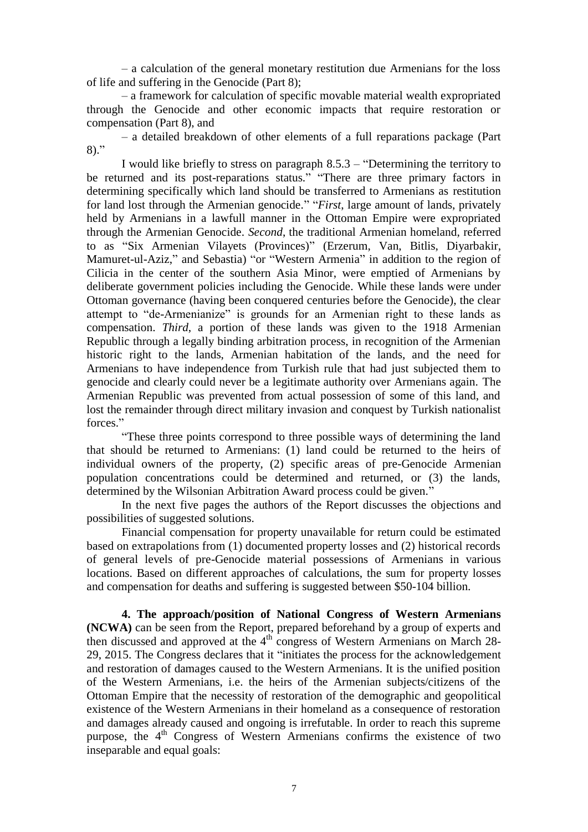– a calculation of the general monetary restitution due Armenians for the loss of life and suffering in the Genocide (Part 8);

– a framework for calculation of specific movable material wealth expropriated through the Genocide and other economic impacts that require restoration or compensation (Part 8), and

– a detailed breakdown of other elements of a full reparations package (Part 8)."

I would like briefly to stress on paragraph 8.5.3 – "Determining the territory to be returned and its post-reparations status." "There are three primary factors in determining specifically which land should be transferred to Armenians as restitution for land lost through the Armenian genocide." "*First*, large amount of lands, privately held by Armenians in a lawfull manner in the Ottoman Empire were expropriated through the Armenian Genocide. *Second*, the traditional Armenian homeland, referred to as "Six Armenian Vilayets (Provinces)" (Erzerum, Van, Bitlis, Diyarbakir, Mamuret-ul-Aziz," and Sebastia) "or "Western Armenia" in addition to the region of Cilicia in the center of the southern Asia Minor, were emptied of Armenians by deliberate government policies including the Genocide. While these lands were under Ottoman governance (having been conquered centuries before the Genocide), the clear attempt to "de-Armenianize" is grounds for an Armenian right to these lands as compensation. *Third*, a portion of these lands was given to the 1918 Armenian Republic through a legally binding arbitration process, in recognition of the Armenian historic right to the lands, Armenian habitation of the lands, and the need for Armenians to have independence from Turkish rule that had just subjected them to genocide and clearly could never be a legitimate authority over Armenians again. The Armenian Republic was prevented from actual possession of some of this land, and lost the remainder through direct military invasion and conquest by Turkish nationalist forces."

"These three points correspond to three possible ways of determining the land that should be returned to Armenians: (1) land could be returned to the heirs of individual owners of the property, (2) specific areas of pre-Genocide Armenian population concentrations could be determined and returned, or (3) the lands, determined by the Wilsonian Arbitration Award process could be given."

In the next five pages the authors of the Report discusses the objections and possibilities of suggested solutions.

Financial compensation for property unavailable for return could be estimated based on extrapolations from (1) documented property losses and (2) historical records of general levels of pre-Genocide material possessions of Armenians in various locations. Based on different approaches of calculations, the sum for property losses and compensation for deaths and suffering is suggested between \$50-104 billion.

**4. The approach/position of National Congress of Western Armenians (NCWA)** can be seen from the Report, prepared beforehand by a group of experts and then discussed and approved at the  $4<sup>th</sup>$  congress of Western Armenians on March 28-29, 2015. The Congress declares that it "initiates the process for the acknowledgement and restoration of damages caused to the Western Armenians. It is the unified position of the Western Armenians, i.e. the heirs of the Armenian subjects/citizens of the Ottoman Empire that the necessity of restoration of the demographic and geopolitical existence of the Western Armenians in their homeland as a consequence of restoration and damages already caused and ongoing is irrefutable. In order to reach this supreme purpose, the 4<sup>th</sup> Congress of Western Armenians confirms the existence of two inseparable and equal goals: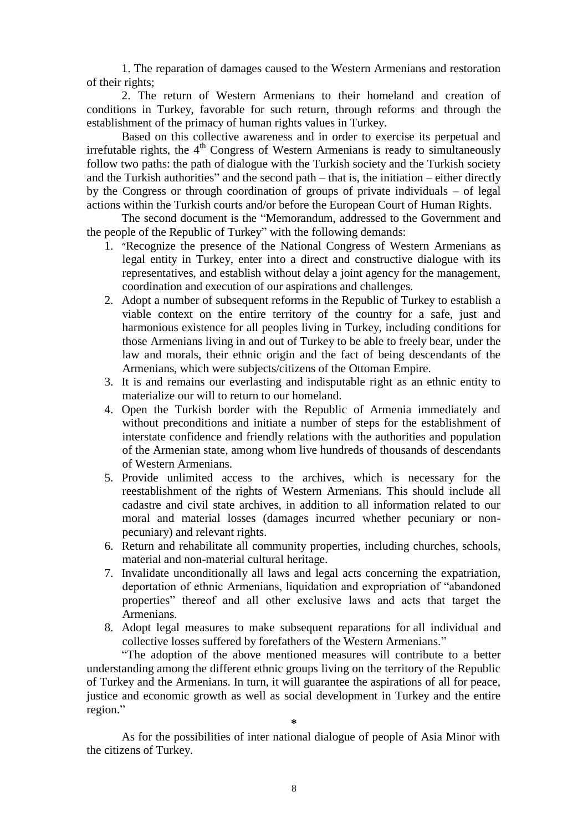1. The reparation of damages caused to the Western Armenians and restoration of their rights;

2. The return of Western Armenians to their homeland and creation of conditions in Turkey, favorable for such return, through reforms and through the establishment of the primacy of human rights values in Turkey.

Based on this collective awareness and in order to exercise its perpetual and irrefutable rights, the 4<sup>th</sup> Congress of Western Armenians is ready to simultaneously follow two paths: the path of dialogue with the Turkish society and the Turkish society and the Turkish authorities" and the second path – that is, the initiation – either directly by the Congress or through coordination of groups of private individuals – of legal actions within the Turkish courts and/or before the European Court of Human Rights.

The second document is the "Memorandum, addressed to the Government and the people of the Republic of Turkey" with the following demands:

- 1. "Recognize the presence of the National Congress of Western Armenians as legal entity in Turkey, enter into a direct and constructive dialogue with its representatives, and establish without delay a joint agency for the management, coordination and execution of our aspirations and challenges.
- 2. Adopt a number of subsequent reforms in the Republic of Turkey to establish a viable context on the entire territory of the country for a safe, just and harmonious existence for all peoples living in Turkey, including conditions for those Armenians living in and out of Turkey to be able to freely bear, under the law and morals, their ethnic origin and the fact of being descendants of the Armenians, which were subjects/citizens of the Ottoman Empire.
- 3. It is and remains our everlasting and indisputable right as an ethnic entity to materialize our will to return to our homeland.
- 4. Open the Turkish border with the Republic of Armenia immediately and without preconditions and initiate a number of steps for the establishment of interstate confidence and friendly relations with the authorities and population of the Armenian state, among whom live hundreds of thousands of descendants of Western Armenians.
- 5. Provide unlimited access to the archives, which is necessary for the reestablishment of the rights of Western Armenians. This should include all cadastre and civil state archives, in addition to all information related to our moral and material losses (damages incurred whether pecuniary or nonpecuniary) and relevant rights.
- 6. Return and rehabilitate all community properties, including churches, schools, material and non-material cultural heritage.
- 7. Invalidate unconditionally all laws and legal acts concerning the expatriation, deportation of ethnic Armenians, liquidation and expropriation of "abandoned properties" thereof and all other exclusive laws and acts that target the Armenians.
- 8. Adopt legal measures to make subsequent reparations for all individual and collective losses suffered by forefathers of the Western Armenians."

"The adoption of the above mentioned measures will contribute to a better understanding among the different ethnic groups living on the territory of the Republic of Turkey and the Armenians. In turn, it will guarantee the aspirations of all for peace, justice and economic growth as well as social development in Turkey and the entire region."

**\***

As for the possibilities of inter national dialogue of people of Asia Minor with the citizens of Turkey.